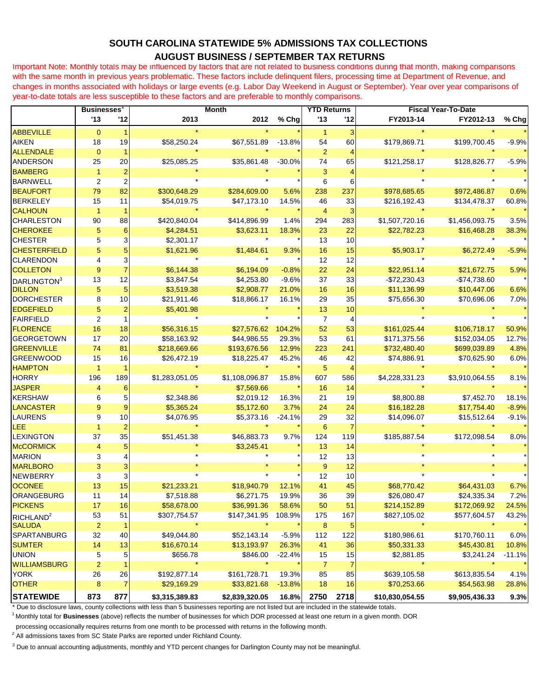## **SOUTH CAROLINA STATEWIDE 5% ADMISSIONS TAX COLLECTIONS AUGUST BUSINESS / SEPTEMBER TAX RETURNS**

Important Note: Monthly totals may be influenced by factors that are not related to business conditions during that month, making comparisons with the same month in previous years problematic. These factors include delinquent filers, processing time at Department of Revenue, and changes in months associated with holidays or large events (e.g. Labor Day Weekend in August or September). Year over year comparisons of year-to-date totals are less susceptible to these factors and are preferable to monthly comparisons.

|                         | <b>Businesses</b> |                         | <b>Month</b>   |                |          | <b>YTD Returns</b> |                | <b>Fiscal Year-To-Date</b> |                |          |
|-------------------------|-------------------|-------------------------|----------------|----------------|----------|--------------------|----------------|----------------------------|----------------|----------|
|                         | 13                | 12                      | 2013           | 2012           | % Chg    | 13                 | '12            | FY2013-14                  | FY2012-13      | % Chg    |
| <b>ABBEVILLE</b>        | $\mathbf{0}$      |                         |                |                |          | $\mathbf{1}$       | 3              |                            |                |          |
| <b>AIKEN</b>            | 18                | 19                      | \$58,250.24    | \$67,551.89    | $-13.8%$ | 54                 | 60             | \$179,869.71               | \$199,700.45   | $-9.9%$  |
| <b>ALLENDALE</b>        | $\mathbf{0}$      | 1                       |                |                |          | $\overline{2}$     | $\overline{4}$ |                            |                |          |
| <b>ANDERSON</b>         | 25                | 20                      | \$25,085.25    | \$35,861.48    | $-30.0%$ | 74                 | 65             | \$121,258.17               | \$128,826.77   | $-5.9%$  |
| <b>BAMBERG</b>          | 1                 | $\overline{2}$          |                |                |          | 3                  |                |                            |                |          |
| <b>BARNWELL</b>         | 2                 | $\overline{2}$          |                |                |          | 6                  | 6              |                            |                |          |
| <b>BEAUFORT</b>         | 79                | 82                      | \$300,648.29   | \$284,609.00   | 5.6%     | 238                | 237            | \$978,685.65               | \$972,486.87   | 0.6%     |
| <b>BERKELEY</b>         | 15                | 11                      | \$54,019.75    | \$47,173.10    | 14.5%    | 46                 | 33             | \$216,192.43               | \$134,478.37   | 60.8%    |
| <b>CALHOUN</b>          | $\overline{1}$    | 1                       |                |                |          | $\overline{4}$     | 3              |                            |                |          |
| <b>CHARLESTON</b>       | 90                | 88                      | \$420,840.04   | \$414,896.99   | 1.4%     | 294                | 283            | \$1,507,720.16             | \$1,456,093.75 | 3.5%     |
| <b>CHEROKEE</b>         | 5                 | 6                       | \$4,284.51     | \$3,623.11     | 18.3%    | 23                 | 22             | \$22,782.23                | \$16,468.28    | 38.3%    |
| <b>CHESTER</b>          | 5                 | 3                       | \$2,301.17     |                |          | 13                 | 10             |                            |                |          |
| <b>CHESTERFIELD</b>     | 5                 | 5                       | \$1,621.96     | \$1,484.61     | 9.3%     | 16                 | 15             | \$5,903.17                 | \$6,272.49     | $-5.9%$  |
| <b>CLARENDON</b>        | 4                 | $\overline{\mathbf{3}}$ |                |                |          | 12                 | 12             |                            |                |          |
| <b>COLLETON</b>         | 9                 | $\overline{7}$          | \$6,144.38     | \$6,194.09     | $-0.8%$  | 22                 | 24             | \$22,951.14                | \$21,672.75    | 5.9%     |
| DARLINGTON <sup>3</sup> | 13                | 12                      | \$3,847.54     | \$4,253.80     | $-9.6%$  | 37                 | 33             | \$72,230.43                | $-$74,738.60$  |          |
| <b>DILLON</b>           | 5                 | 5                       | \$3,519.38     | \$2,908.77     | 21.0%    | 16                 | 16             | \$11,136.99                | \$10,447.06    | 6.6%     |
| <b>DORCHESTER</b>       | 8                 | 10                      | \$21,911.46    | \$18,866.17    | 16.1%    | 29                 | 35             | \$75,656.30                | \$70,696.06    | 7.0%     |
| <b>EDGEFIELD</b>        | 5                 | $\overline{c}$          | \$5,401.98     |                |          | 13                 | 10             |                            |                |          |
| <b>FAIRFIELD</b>        | $\overline{2}$    | $\mathbf{1}$            |                |                |          | $\overline{7}$     | 4              |                            |                |          |
| <b>FLORENCE</b>         | 16                | 18                      | \$56,316.15    | \$27,576.62    | 104.2%   | 52                 | 53             | \$161,025.44               | \$106,718.17   | 50.9%    |
| <b>GEORGETOWN</b>       | 17                | 20                      | \$58,163.92    | \$44,986.55    | 29.3%    | 53                 | 61             | \$171,375.56               | \$152,034.05   | 12.7%    |
| <b>GREENVILLE</b>       | 74                | 81                      | \$218,669.66   | \$193,676.56   | 12.9%    | 223                | 241            | \$732,480.40               | \$699,039.89   | 4.8%     |
| <b>GREENWOOD</b>        | 15                | 16                      | \$26,472.19    | \$18,225.47    | 45.2%    | 46                 | 42             | \$74,886.91                | \$70,625.90    | 6.0%     |
| <b>HAMPTON</b>          | $\mathbf 1$       |                         |                |                |          | 5                  | 4              |                            |                |          |
| <b>HORRY</b>            | 196               | 189                     | \$1,283,051.05 | \$1,108,096.87 | 15.8%    | 607                | 586            | \$4,228,331.23             | \$3,910,064.55 | 8.1%     |
| <b>JASPER</b>           | 4                 | 6                       |                | \$7,569.66     |          | 16                 | 14             |                            |                |          |
| <b>KERSHAW</b>          | 6                 | 5                       | \$2,348.86     | \$2,019.12     | 16.3%    | 21                 | 19             | \$8,800.88                 | \$7,452.70     | 18.1%    |
| <b>LANCASTER</b>        | 9                 | 9                       | \$5,365.24     | \$5,172.60     | 3.7%     | 24                 | 24             | \$16,182.28                | \$17,754.40    | $-8.9%$  |
| <b>LAURENS</b>          | 9                 | 10                      | \$4,076.95     | \$5,373.16     | $-24.1%$ | 29                 | 32             | \$14,096.07                | \$15,512.64    | $-9.1%$  |
| LEE                     | $\overline{1}$    |                         |                |                |          | 6                  |                |                            |                |          |
| <b>LEXINGTON</b>        | 37                | 35                      | \$51,451.38    | \$46,883.73    | 9.7%     | 124                | 119            | \$185,887.54               | \$172,098.54   | 8.0%     |
| <b>McCORMICK</b>        | $\overline{4}$    | 5                       |                | \$3,245.41     |          | 13                 | 14             |                            |                |          |
| <b>MARION</b>           | 3                 | 4                       |                |                |          | 12                 | 13             |                            |                |          |
| <b>MARLBORO</b>         | 3                 | 3                       |                |                |          | 9                  | 12             |                            |                |          |
| <b>NEWBERRY</b>         | 3                 | $\overline{3}$          |                |                |          | 12                 | 10             |                            |                |          |
| <b>OCONEE</b>           | 13                | 15                      | \$21,233.21    | \$18,940.79    | 12.1%    | 41                 | 45             | \$68,770.42                | \$64,431.03    | 6.7%     |
| ORANGEBURG              | 11                | 14                      | \$7,518.88     | \$6,271.75     | 19.9%    | 36                 | 39             | \$26,080.47                | \$24,335.34    | 7.2%     |
| <b>PICKENS</b>          | 17                | 16                      | \$58,678.00    | \$36,991.36    | 58.6%    | 50                 | 51             | \$214,152.89               | \$172,069.92   | 24.5%    |
| RICHLAND <sup>2</sup>   | 53                | 51                      | \$307,754.57   | \$147,341.95   | 108.9%   | 175                | 167            | \$827,105.02               | \$577,604.57   | 43.2%    |
| <b>SALUDA</b>           | $\overline{2}$    | $\mathbf{1}$            |                |                |          | $\boldsymbol{8}$   | 5              |                            |                |          |
| <b>SPARTANBURG</b>      | 32                | 40                      | \$49,044.80    | \$52,143.14    | $-5.9%$  | 112                | 122            | \$180,986.61               | \$170,760.11   | 6.0%     |
| <b>SUMTER</b>           | 14                | 13                      | \$16,670.14    | \$13,193.97    | 26.3%    | 41                 | 36             | \$50,331.33                | \$45,430.81    | 10.8%    |
| <b>UNION</b>            | 5                 | 5                       | \$656.78       | \$846.00       | $-22.4%$ | 15                 | 15             | \$2,881.85                 | \$3,241.24     | $-11.1%$ |
| <b>WILLIAMSBURG</b>     | $\overline{2}$    | 1                       |                |                |          | $\overline{7}$     | 7              |                            |                |          |
| <b>YORK</b>             | 26                | 26                      | \$192,877.14   | \$161,728.71   | 19.3%    | 85                 | 85             | \$639,105.58               | \$613,835.54   | 4.1%     |
| <b>OTHER</b>            | $\boldsymbol{8}$  | 7                       | \$29,169.29    | \$33,821.68    | $-13.8%$ | 18                 | 16             | \$70,253.66                | \$54,563.98    | 28.8%    |
| <b>STATEWIDE</b>        | 873               | 877                     | \$3,315,389.83 | \$2,839,320.05 | 16.8%    | 2750               | 2718           | \$10,830,054.55            | \$9,905,436.33 | 9.3%     |

\* Due to disclosure laws, county collections with less than 5 businesses reporting are not listed but are included in the statewide totals.

<sup>1</sup>Monthly total for **Businesses** (above) reflects the number of businesses for which DOR processed at least one return in a given month. DOR

processing occasionally requires returns from one month to be processed with returns in the following month.

 $2$  All admissions taxes from SC State Parks are reported under Richland County.

<sup>3</sup> Due to annual accounting adjustments, monthly and YTD percent changes for Darlington County may not be meaningful.